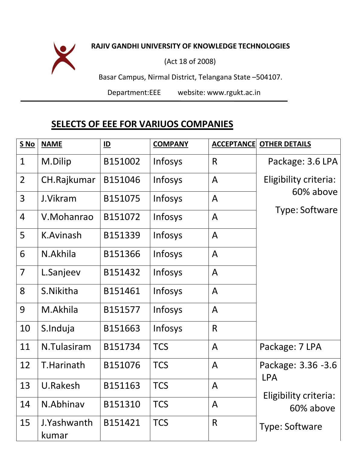## **RAJIV GANDHI UNIVERSITY OF KNOWLEDGE TECHNOLOGIES**

(Act 18 of 2008)

Basar Campus, Nirmal District, Telangana State –504107.

Department:EEE website: [www.rgukt.ac.in](http://www.rgukt.ac.in/)

## **SELECTS OF EEE FOR VARIUOS COMPANIES**

| S No           | <b>NAME</b>          | $\underline{\mathsf{ID}}$ | <b>COMPANY</b> | <b>ACCEPTANCE</b> | <b>OTHER DETAILS</b>                |
|----------------|----------------------|---------------------------|----------------|-------------------|-------------------------------------|
| $\mathbf{1}$   | M.Dilip              | B151002                   | Infosys        | R                 | Package: 3.6 LPA                    |
| $\overline{2}$ | CH.Rajkumar          | B151046                   | Infosys        | A                 | Eligibility criteria:               |
| 3              | J.Vikram             | B151075                   | Infosys        | A                 | 60% above                           |
| 4              | V.Mohanrao           | B151072                   | Infosys        | A                 | Type: Software                      |
| 5              | K.Avinash            | B151339                   | Infosys        | A                 |                                     |
| 6              | N.Akhila             | B151366                   | Infosys        | A                 |                                     |
| $\overline{7}$ | L.Sanjeev            | B151432                   | Infosys        | A                 |                                     |
| 8              | S.Nikitha            | B151461                   | Infosys        | A                 |                                     |
| 9              | M.Akhila             | B151577                   | Infosys        | A                 |                                     |
| 10             | S.Induja             | B151663                   | Infosys        | R                 |                                     |
| 11             | N.Tulasiram          | B151734                   | <b>TCS</b>     | A                 | Package: 7 LPA                      |
| 12             | T.Harinath           | B151076                   | <b>TCS</b>     | A                 | Package: 3.36 -3.6                  |
| 13             | U.Rakesh             | B151163                   | <b>TCS</b>     | A                 | <b>LPA</b><br>Eligibility criteria: |
| 14             | N.Abhinav            | B151310                   | <b>TCS</b>     | A                 | 60% above                           |
| 15             | J.Yashwanth<br>kumar | B151421                   | <b>TCS</b>     | $\mathsf{R}$      | Type: Software                      |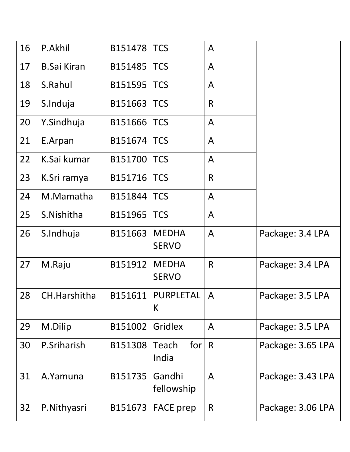| 16 | P.Akhil            | B151478 | <b>TCS</b>                     | $\mathsf{A}$   |                   |
|----|--------------------|---------|--------------------------------|----------------|-------------------|
| 17 | <b>B.Sai Kiran</b> | B151485 | <b>TCS</b>                     | $\mathsf{A}$   |                   |
| 18 | S.Rahul            | B151595 | <b>TCS</b>                     | $\mathsf{A}$   |                   |
| 19 | S.Induja           | B151663 | <b>TCS</b>                     | $\mathsf{R}$   |                   |
| 20 | Y.Sindhuja         | B151666 | <b>TCS</b>                     | $\mathsf{A}$   |                   |
| 21 | E.Arpan            | B151674 | <b>TCS</b>                     | $\mathsf{A}$   |                   |
| 22 | K.Sai kumar        | B151700 | <b>TCS</b>                     | $\mathsf{A}$   |                   |
| 23 | K.Sri ramya        | B151716 | <b>TCS</b>                     | $\mathsf{R}$   |                   |
| 24 | M.Mamatha          | B151844 | <b>TCS</b>                     | $\overline{A}$ |                   |
| 25 | S.Nishitha         | B151965 | <b>TCS</b>                     | $\mathsf{A}$   |                   |
| 26 | S.Indhuja          | B151663 | <b>MEDHA</b><br><b>SERVO</b>   | $\mathsf{A}$   | Package: 3.4 LPA  |
| 27 | M.Raju             | B151912 | <b>MEDHA</b><br><b>SERVO</b>   | $\mathsf{R}$   | Package: 3.4 LPA  |
| 28 | CH.Harshitha       | B151611 | PURPLETAL<br>K                 | $\mathsf{A}$   | Package: 3.5 LPA  |
| 29 | M.Dilip            | B151002 | Gridlex                        | $\mathsf{A}$   | Package: 3.5 LPA  |
| 30 | P.Sriharish        | B151308 | for $\mid$ R<br>Teach<br>India |                | Package: 3.65 LPA |
| 31 | A.Yamuna           | B151735 | Gandhi<br>fellowship           | $\mathsf{A}$   | Package: 3.43 LPA |
| 32 | P.Nithyasri        | B151673 | <b>FACE</b> prep               | R              | Package: 3.06 LPA |
|    |                    |         |                                |                |                   |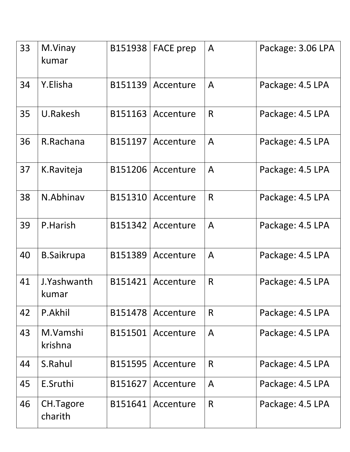| 33 | M.Vinay<br>kumar     | B151938 | <b>FACE</b> prep | $\mathsf{A}$ | Package: 3.06 LPA |
|----|----------------------|---------|------------------|--------------|-------------------|
| 34 | Y.Elisha             | B151139 | Accenture        | A            | Package: 4.5 LPA  |
| 35 | U.Rakesh             | B151163 | Accenture        | R            | Package: 4.5 LPA  |
| 36 | R.Rachana            | B151197 | Accenture        | $\mathsf{A}$ | Package: 4.5 LPA  |
| 37 | K.Raviteja           | B151206 | Accenture        | $\mathsf{A}$ | Package: 4.5 LPA  |
| 38 | N.Abhinav            | B151310 | Accenture        | $\mathsf{R}$ | Package: 4.5 LPA  |
| 39 | P.Harish             | B151342 | Accenture        | $\mathsf{A}$ | Package: 4.5 LPA  |
| 40 | <b>B.Saikrupa</b>    | B151389 | Accenture        | $\mathsf{A}$ | Package: 4.5 LPA  |
| 41 | J.Yashwanth<br>kumar | B151421 | Accenture        | $\mathsf{R}$ | Package: 4.5 LPA  |
| 42 | P.Akhil              | B151478 | Accenture        | R            | Package: 4.5 LPA  |
| 43 | M.Vamshi<br>krishna  | B151501 | Accenture        | $\mathsf{A}$ | Package: 4.5 LPA  |
| 44 | S.Rahul              | B151595 | Accenture        | R            | Package: 4.5 LPA  |
| 45 | E.Sruthi             | B151627 | Accenture        | $\mathsf{A}$ | Package: 4.5 LPA  |
| 46 | CH.Tagore<br>charith | B151641 | Accenture        | R            | Package: 4.5 LPA  |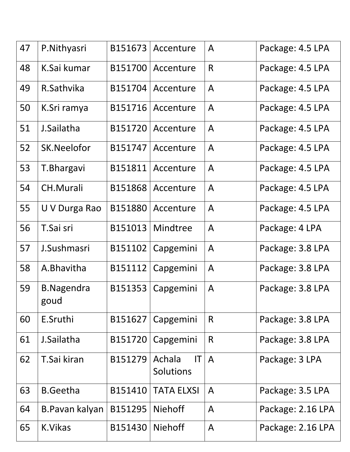| 47 | P.Nithyasri               | B151673 | Accenture                                     | A              | Package: 4.5 LPA  |
|----|---------------------------|---------|-----------------------------------------------|----------------|-------------------|
| 48 | K.Sai kumar               | B151700 | Accenture                                     | $\mathsf{R}$   | Package: 4.5 LPA  |
| 49 | R.Sathvika                | B151704 | Accenture                                     | $\mathsf{A}$   | Package: 4.5 LPA  |
| 50 | K.Sri ramya               | B151716 | Accenture                                     | $\mathsf{A}$   | Package: 4.5 LPA  |
| 51 | J.Sailatha                | B151720 | Accenture                                     | $\mathsf{A}$   | Package: 4.5 LPA  |
| 52 | SK.Neelofor               | B151747 | Accenture                                     | $\mathsf{A}$   | Package: 4.5 LPA  |
| 53 | T. Bhargavi               | B151811 | Accenture                                     | $\mathsf{A}$   | Package: 4.5 LPA  |
| 54 | <b>CH.Murali</b>          | B151868 | Accenture                                     | $\mathsf{A}$   | Package: 4.5 LPA  |
| 55 | U V Durga Rao             | B151880 | Accenture                                     | $\mathsf{A}$   | Package: 4.5 LPA  |
| 56 | T.Sai sri                 | B151013 | Mindtree                                      | $\mathsf{A}$   | Package: 4 LPA    |
| 57 | J.Sushmasri               | B151102 | Capgemini                                     | $\mathsf{A}$   | Package: 3.8 LPA  |
| 58 | A.Bhavitha                | B151112 | Capgemini                                     | $\mathsf{A}$   | Package: 3.8 LPA  |
| 59 | <b>B.Nagendra</b><br>goud | B151353 | Capgemini                                     | $\mathsf{A}$   | Package: 3.8 LPA  |
| 60 | E.Sruthi                  | B151627 | Capgemini                                     | R              | Package: 3.8 LPA  |
| 61 | J.Sailatha                | B151720 | Capgemini                                     | R              | Package: 3.8 LPA  |
| 62 | T.Sai kiran               | B151279 | $\mathsf{I}\mathsf{T}$<br>Achala<br>Solutions | $\overline{A}$ | Package: 3 LPA    |
| 63 | <b>B.Geetha</b>           | B151410 | <b>TATA ELXSI</b>                             | $\mathsf{A}$   | Package: 3.5 LPA  |
| 64 | B. Pavan kalyan           | B151295 | <b>Niehoff</b>                                | A              | Package: 2.16 LPA |
| 65 | K.Vikas                   | B151430 | <b>Niehoff</b>                                | $\mathsf{A}$   | Package: 2.16 LPA |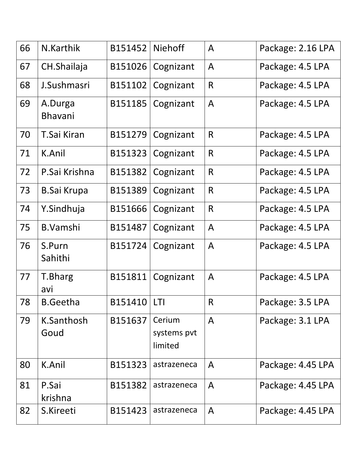| 66 | N.Karthik                 | B151452 | <b>Niehoff</b>                   | A              | Package: 2.16 LPA |
|----|---------------------------|---------|----------------------------------|----------------|-------------------|
| 67 | CH.Shailaja               | B151026 | Cognizant                        | A              | Package: 4.5 LPA  |
| 68 | J.Sushmasri               | B151102 | Cognizant                        | R              | Package: 4.5 LPA  |
| 69 | A.Durga<br><b>Bhavani</b> | B151185 | Cognizant                        | $\mathsf{A}$   | Package: 4.5 LPA  |
| 70 | T.Sai Kiran               | B151279 | Cognizant                        | R              | Package: 4.5 LPA  |
| 71 | K.Anil                    | B151323 | Cognizant                        | R              | Package: 4.5 LPA  |
| 72 | P.Sai Krishna             | B151382 | Cognizant                        | R              | Package: 4.5 LPA  |
| 73 | <b>B.Sai Krupa</b>        | B151389 | Cognizant                        | $\mathsf{R}$   | Package: 4.5 LPA  |
| 74 | Y.Sindhuja                | B151666 | Cognizant                        | R              | Package: 4.5 LPA  |
| 75 | B.Vamshi                  | B151487 | Cognizant                        | $\mathsf{A}$   | Package: 4.5 LPA  |
| 76 | S.Purn<br>Sahithi         | B151724 | Cognizant                        | $\mathsf{A}$   | Package: 4.5 LPA  |
| 77 | T.Bharg<br>avi            | B151811 | Cognizant                        | A              | Package: 4.5 LPA  |
| 78 | <b>B.Geetha</b>           | B151410 | <b>LTI</b>                       | R              | Package: 3.5 LPA  |
| 79 | K.Santhosh<br>Goud        | B151637 | Cerium<br>systems pvt<br>limited | $\overline{A}$ | Package: 3.1 LPA  |
| 80 | K.Anil                    | B151323 | astrazeneca                      | A              | Package: 4.45 LPA |
| 81 | P.Sai<br>krishna          | B151382 | astrazeneca                      | $\mathsf{A}$   | Package: 4.45 LPA |
| 82 | S.Kireeti                 | B151423 | astrazeneca                      | $\mathsf{A}$   | Package: 4.45 LPA |